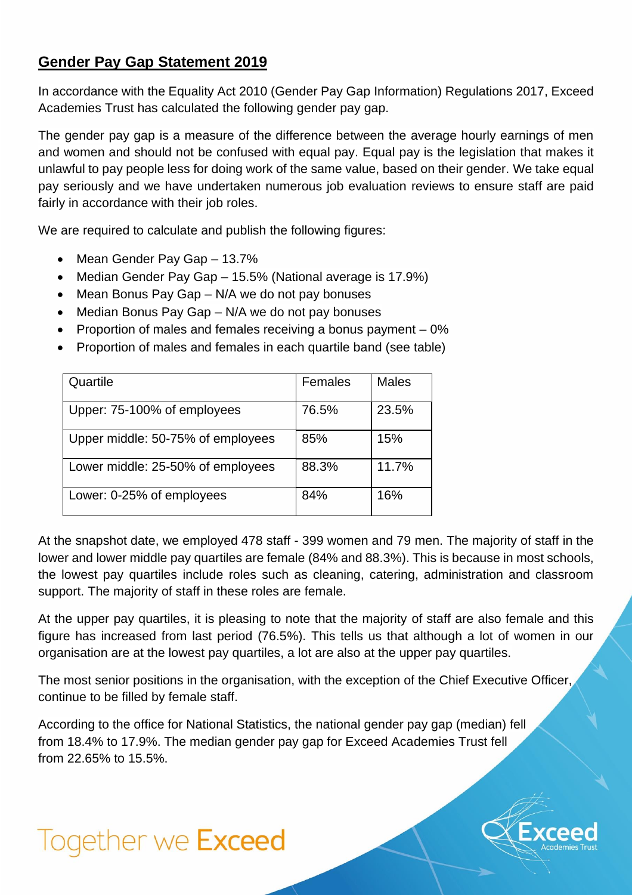## **Gender Pay Gap Statement 2019**

In accordance with the Equality Act 2010 (Gender Pay Gap Information) Regulations 2017, Exceed Academies Trust has calculated the following gender pay gap.

The gender pay gap is a measure of the difference between the average hourly earnings of men and women and should not be confused with equal pay. Equal pay is the legislation that makes it unlawful to pay people less for doing work of the same value, based on their gender. We take equal pay seriously and we have undertaken numerous job evaluation reviews to ensure staff are paid fairly in accordance with their job roles.

We are required to calculate and publish the following figures:

- Mean Gender Pay Gap 13.7%
- Median Gender Pay Gap 15.5% (National average is 17.9%)
- Mean Bonus Pay Gap N/A we do not pay bonuses
- Median Bonus Pay Gap N/A we do not pay bonuses
- Proportion of males and females receiving a bonus payment 0%
- Proportion of males and females in each quartile band (see table)

| Quartile                          | Females | <b>Males</b> |
|-----------------------------------|---------|--------------|
| Upper: 75-100% of employees       | 76.5%   | 23.5%        |
| Upper middle: 50-75% of employees | 85%     | 15%          |
| Lower middle: 25-50% of employees | 88.3%   | 11.7%        |
| Lower: 0-25% of employees         | 84%     | 16%          |

At the snapshot date, we employed 478 staff - 399 women and 79 men. The majority of staff in the lower and lower middle pay quartiles are female (84% and 88.3%). This is because in most schools, the lowest pay quartiles include roles such as cleaning, catering, administration and classroom support. The majority of staff in these roles are female.

At the upper pay quartiles, it is pleasing to note that the majority of staff are also female and this figure has increased from last period (76.5%). This tells us that although a lot of women in our organisation are at the lowest pay quartiles, a lot are also at the upper pay quartiles.

The most senior positions in the organisation, with the exception of the Chief Executive Officer, continue to be filled by female staff.

According to the office for National Statistics, the national gender pay gap (median) fell from 18.4% to 17.9%. The median gender pay gap for Exceed Academies Trust fell from 22.65% to 15.5%.



## Together we Exceed